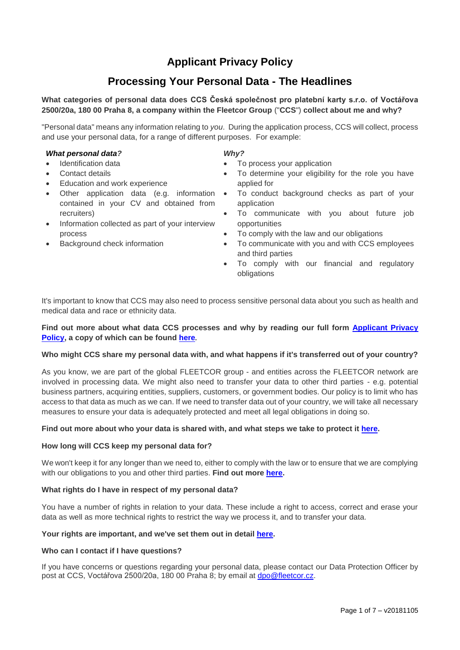# **Applicant Privacy Policy**

# **Processing Your Personal Data - The Headlines**

# **What categories of personal data does CCS Česká společnost pro platební karty s.r.o. of Voctářova 2500/20a, 180 00 Praha 8, a company within the Fleetcor Group** ("**CCS**") **collect about me and why?**

"Personal data" means any information relating to *you*. During the application process, CCS will collect, process and use your personal data, for a range of different purposes. For example:

#### *What personal data?*

- Identification data
- Contact details
- Education and work experience
- Other application data (e.g. information contained in your CV and obtained from recruiters)
- Information collected as part of your interview process
- Background check information

#### *Why?*

- To process your application
- To determine your eligibility for the role you have applied for
- To conduct background checks as part of your application
- To communicate with you about future job opportunities
- To comply with the law and our obligations
- To communicate with you and with CCS employees and third parties
- To comply with our financial and regulatory obligations

It's important to know that CCS may also need to process sensitive personal data about you such as health and medical data and race or ethnicity data.

## **Find out more about what data CCS processes and why by reading our full form [Applicant Privacy](#page-0-0)  [Policy,](#page-0-0) a copy of which can be found [here](#page-0-0).**

#### **Who might CCS share my personal data with, and what happens if it's transferred out of your country?**

As you know, we are part of the global FLEETCOR group - and entities across the FLEETCOR network are involved in processing data. We might also need to transfer your data to other third parties - e.g. potential business partners, acquiring entities, suppliers, customers, or government bodies. Our policy is to limit who has access to that data as much as we can. If we need to transfer data out of your country, we will take all necessary measures to ensure your data is adequately protected and meet all legal obligations in doing so.

#### **Find out more about who your data is shared with, and what steps we take to protect it [here.](#page-4-0)**

#### **How long will CCS keep my personal data for?**

We won't keep it for any longer than we need to, either to comply with the law or to ensure that we are complying with our obligations to you and other third parties. **Find out more [here.](#page-5-0)**

#### **What rights do I have in respect of my personal data?**

You have a number of rights in relation to your data. These include a right to access, correct and erase your data as well as more technical rights to restrict the way we process it, and to transfer your data.

#### **Your rights are important, and we've set them out in detail [here.](#page-5-1)**

#### **Who can I contact if I have questions?**

<span id="page-0-0"></span>If you have concerns or questions regarding your personal data, please contact our Data Protection Officer by post at CCS, Voctářova 2500/20a, 180 00 Praha 8; by email at [dpo@fleetcor.cz.](mailto:dpo@fleetcor.cz)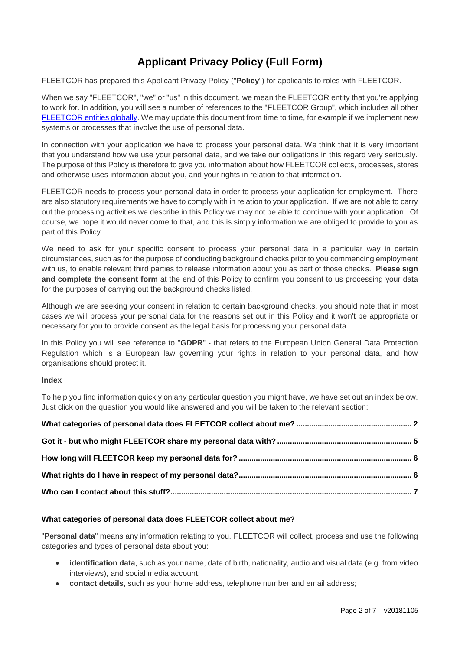# **Applicant Privacy Policy (Full Form)**

FLEETCOR has prepared this Applicant Privacy Policy ("**Policy**") for applicants to roles with FLEETCOR.

When we say "FLEETCOR", "we" or "us" in this document, we mean the FLEETCOR entity that you're applying to work for. In addition, you will see a number of references to the "FLEETCOR Group", which includes all other [FLEETCOR entities globally.](https://www.fleetcor.com/en/global-sites.html) We may update this document from time to time, for example if we implement new systems or processes that involve the use of personal data.

In connection with your application we have to process your personal data. We think that it is very important that you understand how we use your personal data, and we take our obligations in this regard very seriously. The purpose of this Policy is therefore to give you information about how FLEETCOR collects, processes, stores and otherwise uses information about you, and your rights in relation to that information.

FLEETCOR needs to process your personal data in order to process your application for employment. There are also statutory requirements we have to comply with in relation to your application. If we are not able to carry out the processing activities we describe in this Policy we may not be able to continue with your application. Of course, we hope it would never come to that, and this is simply information we are obliged to provide to you as part of this Policy.

We need to ask for your specific consent to process your personal data in a particular way in certain circumstances, such as for the purpose of conducting background checks prior to you commencing employment with us, to enable relevant third parties to release information about you as part of those checks. **Please sign and complete the consent form** at the end of this Policy to confirm you consent to us processing your data for the purposes of carrying out the background checks listed.

Although we are seeking your consent in relation to certain background checks, you should note that in most cases we will process your personal data for the reasons set out in this Policy and it won't be appropriate or necessary for you to provide consent as the legal basis for processing your personal data.

In this Policy you will see reference to "**GDPR**" - that refers to the European Union General Data Protection Regulation which is a European law governing your rights in relation to your personal data, and how organisations should protect it.

## **Index**

To help you find information quickly on any particular question you might have, we have set out an index below. Just click on the question you would like answered and you will be taken to the relevant section:

## <span id="page-1-0"></span>**What categories of personal data does FLEETCOR collect about me?**

"**Personal data**" means any information relating to you. FLEETCOR will collect, process and use the following categories and types of personal data about you:

- **identification data**, such as your name, date of birth, nationality, audio and visual data (e.g. from video interviews), and social media account;
- **contact details**, such as your home address, telephone number and email address;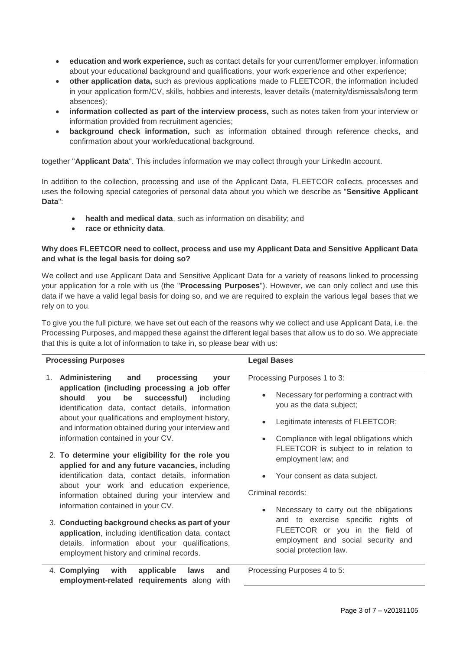- **education and work experience,** such as contact details for your current/former employer, information about your educational background and qualifications, your work experience and other experience;
- **other application data,** such as previous applications made to FLEETCOR, the information included in your application form/CV, skills, hobbies and interests, leaver details (maternity/dismissals/long term absences);
- **information collected as part of the interview process,** such as notes taken from your interview or information provided from recruitment agencies;
- **background check information,** such as information obtained through reference checks, and confirmation about your work/educational background.

together "Applicant Data". This includes information we may collect through your LinkedIn account.

In addition to the collection, processing and use of the Applicant Data, FLEETCOR collects, processes and uses the following special categories of personal data about you which we describe as "**Sensitive Applicant Data**":

- **health and medical data**, such as information on disability; and
- **race or ethnicity data**.

# **Why does FLEETCOR need to collect, process and use my Applicant Data and Sensitive Applicant Data and what is the legal basis for doing so?**

We collect and use Applicant Data and Sensitive Applicant Data for a variety of reasons linked to processing your application for a role with us (the "**Processing Purposes**"). However, we can only collect and use this data if we have a valid legal basis for doing so, and we are required to explain the various legal bases that we rely on to you.

To give you the full picture, we have set out each of the reasons why we collect and use Applicant Data, i.e. the Processing Purposes, and mapped these against the different legal bases that allow us to do so. We appreciate that this is quite a lot of information to take in, so please bear with us:

| <b>Processing Purposes</b>                                                                                                                                                                                                                                                                                                                                                                                                                                                                                                                                                                                                                                                                                                                                                                                                                                                 | <b>Legal Bases</b>                                                                                                                                                                                                                                                                                                                                                                                                                                                                           |
|----------------------------------------------------------------------------------------------------------------------------------------------------------------------------------------------------------------------------------------------------------------------------------------------------------------------------------------------------------------------------------------------------------------------------------------------------------------------------------------------------------------------------------------------------------------------------------------------------------------------------------------------------------------------------------------------------------------------------------------------------------------------------------------------------------------------------------------------------------------------------|----------------------------------------------------------------------------------------------------------------------------------------------------------------------------------------------------------------------------------------------------------------------------------------------------------------------------------------------------------------------------------------------------------------------------------------------------------------------------------------------|
| processing<br><b>Administering</b><br>and<br>1.<br>your<br>application (including processing a job offer<br>be<br>successful)<br>should<br>you<br>including<br>identification data, contact details, information<br>about your qualifications and employment history,<br>and information obtained during your interview and<br>information contained in your CV.<br>2. To determine your eligibility for the role you<br>applied for and any future vacancies, including<br>identification data, contact details, information<br>about your work and education experience,<br>information obtained during your interview and<br>information contained in your CV.<br>3. Conducting background checks as part of your<br>application, including identification data, contact<br>details, information about your qualifications,<br>employment history and criminal records. | Processing Purposes 1 to 3:<br>Necessary for performing a contract with<br>you as the data subject;<br>Legitimate interests of FLEETCOR;<br>Compliance with legal obligations which<br>FLEETCOR is subject to in relation to<br>employment law; and<br>Your consent as data subject.<br>Criminal records:<br>Necessary to carry out the obligations<br>and to exercise specific rights of<br>FLEETCOR or you in the field of<br>employment and social security and<br>social protection law. |
| 4. Complying<br>with<br>applicable<br>laws<br>and<br>employment-related requirements along with                                                                                                                                                                                                                                                                                                                                                                                                                                                                                                                                                                                                                                                                                                                                                                            | Processing Purposes 4 to 5:                                                                                                                                                                                                                                                                                                                                                                                                                                                                  |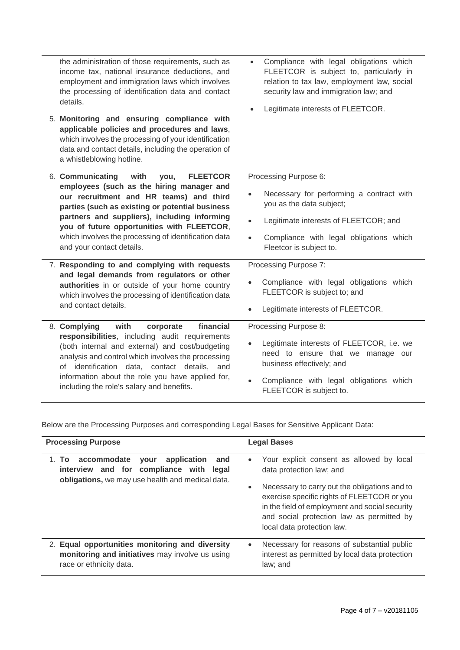| the administration of those requirements, such as<br>income tax, national insurance deductions, and<br>employment and immigration laws which involves<br>the processing of identification data and contact<br>details.                  | Compliance with legal obligations which<br>$\bullet$<br>FLEETCOR is subject to, particularly in<br>relation to tax law, employment law, social<br>security law and immigration law; and<br>Legitimate interests of FLEETCOR. |
|-----------------------------------------------------------------------------------------------------------------------------------------------------------------------------------------------------------------------------------------|------------------------------------------------------------------------------------------------------------------------------------------------------------------------------------------------------------------------------|
| 5. Monitoring and ensuring compliance with<br>applicable policies and procedures and laws,<br>which involves the processing of your identification<br>data and contact details, including the operation of<br>a whistleblowing hotline. |                                                                                                                                                                                                                              |
| 6. Communicating<br>with<br><b>FLEETCOR</b><br>you,                                                                                                                                                                                     | Processing Purpose 6:                                                                                                                                                                                                        |
| employees (such as the hiring manager and<br>our recruitment and HR teams) and third<br>parties (such as existing or potential business                                                                                                 | Necessary for performing a contract with<br>you as the data subject;                                                                                                                                                         |
| partners and suppliers), including informing<br>you of future opportunities with FLEETCOR,                                                                                                                                              | Legitimate interests of FLEETCOR; and<br>$\bullet$                                                                                                                                                                           |
| which involves the processing of identification data<br>and your contact details.                                                                                                                                                       | Compliance with legal obligations which<br>Fleetcor is subject to.                                                                                                                                                           |
| 7. Responding to and complying with requests                                                                                                                                                                                            | Processing Purpose 7:                                                                                                                                                                                                        |
| and legal demands from regulators or other<br>authorities in or outside of your home country<br>which involves the processing of identification data<br>and contact details.                                                            | Compliance with legal obligations which<br>FLEETCOR is subject to; and                                                                                                                                                       |
|                                                                                                                                                                                                                                         | Legitimate interests of FLEETCOR.                                                                                                                                                                                            |
| financial<br>8. Complying<br>with<br>corporate                                                                                                                                                                                          | Processing Purpose 8:                                                                                                                                                                                                        |
| responsibilities, including audit requirements<br>(both internal and external) and cost/budgeting<br>analysis and control which involves the processing<br>of identification data, contact details,<br>and                              | Legitimate interests of FLEETCOR, i.e. we<br>need to ensure that we manage our<br>business effectively; and                                                                                                                  |
| information about the role you have applied for,<br>including the role's salary and benefits.                                                                                                                                           | Compliance with legal obligations which<br>FLEETCOR is subject to.                                                                                                                                                           |

Below are the Processing Purposes and corresponding Legal Bases for Sensitive Applicant Data:

| <b>Processing Purpose</b>                                                                                                                         | <b>Legal Bases</b>                                                                                                                                                                                                                     |
|---------------------------------------------------------------------------------------------------------------------------------------------------|----------------------------------------------------------------------------------------------------------------------------------------------------------------------------------------------------------------------------------------|
| 1. To accommodate<br>application<br>vour<br>and<br>interview and for compliance with<br>legal<br>obligations, we may use health and medical data. | Your explicit consent as allowed by local<br>$\bullet$<br>data protection law; and                                                                                                                                                     |
|                                                                                                                                                   | Necessary to carry out the obligations and to<br>$\bullet$<br>exercise specific rights of FLEETCOR or you<br>in the field of employment and social security<br>and social protection law as permitted by<br>local data protection law. |
| 2. Equal opportunities monitoring and diversity<br>monitoring and initiatives may involve us using<br>race or ethnicity data.                     | Necessary for reasons of substantial public<br>$\bullet$<br>interest as permitted by local data protection<br>law; and                                                                                                                 |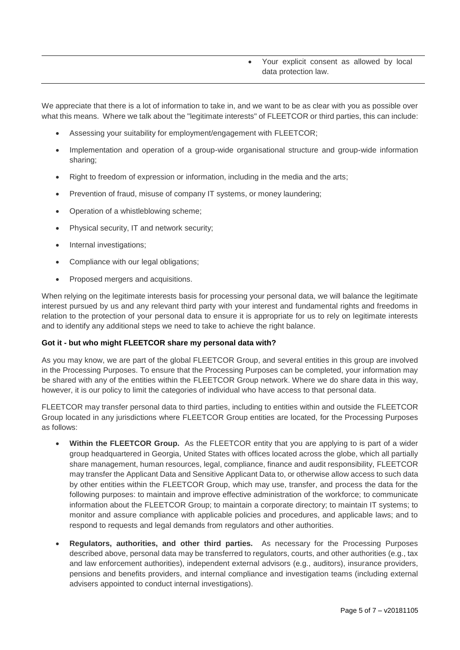## Your explicit consent as allowed by local data protection law.

We appreciate that there is a lot of information to take in, and we want to be as clear with you as possible over what this means. Where we talk about the "legitimate interests" of FLEETCOR or third parties, this can include:

- Assessing your suitability for employment/engagement with FLEETCOR;
- Implementation and operation of a group-wide organisational structure and group-wide information sharing;
- Right to freedom of expression or information, including in the media and the arts;
- Prevention of fraud, misuse of company IT systems, or money laundering;
- Operation of a whistleblowing scheme;
- Physical security, IT and network security;
- Internal investigations;
- Compliance with our legal obligations;
- Proposed mergers and acquisitions.

When relying on the legitimate interests basis for processing your personal data, we will balance the legitimate interest pursued by us and any relevant third party with your interest and fundamental rights and freedoms in relation to the protection of your personal data to ensure it is appropriate for us to rely on legitimate interests and to identify any additional steps we need to take to achieve the right balance.

#### <span id="page-4-0"></span>**Got it - but who might FLEETCOR share my personal data with?**

As you may know, we are part of the global FLEETCOR Group, and several entities in this group are involved in the Processing Purposes. To ensure that the Processing Purposes can be completed, your information may be shared with any of the entities within the FLEETCOR Group network. Where we do share data in this way, however, it is our policy to limit the categories of individual who have access to that personal data.

FLEETCOR may transfer personal data to third parties, including to entities within and outside the FLEETCOR Group located in any jurisdictions where FLEETCOR Group entities are located, for the Processing Purposes as follows:

- **Within the FLEETCOR Group.** As the FLEETCOR entity that you are applying to is part of a wider group headquartered in Georgia, United States with offices located across the globe, which all partially share management, human resources, legal, compliance, finance and audit responsibility, FLEETCOR may transfer the Applicant Data and Sensitive Applicant Data to, or otherwise allow access to such data by other entities within the FLEETCOR Group, which may use, transfer, and process the data for the following purposes: to maintain and improve effective administration of the workforce; to communicate information about the FLEETCOR Group; to maintain a corporate directory; to maintain IT systems; to monitor and assure compliance with applicable policies and procedures, and applicable laws; and to respond to requests and legal demands from regulators and other authorities.
- **Regulators, authorities, and other third parties.** As necessary for the Processing Purposes described above, personal data may be transferred to regulators, courts, and other authorities (e.g., tax and law enforcement authorities), independent external advisors (e.g., auditors), insurance providers, pensions and benefits providers, and internal compliance and investigation teams (including external advisers appointed to conduct internal investigations).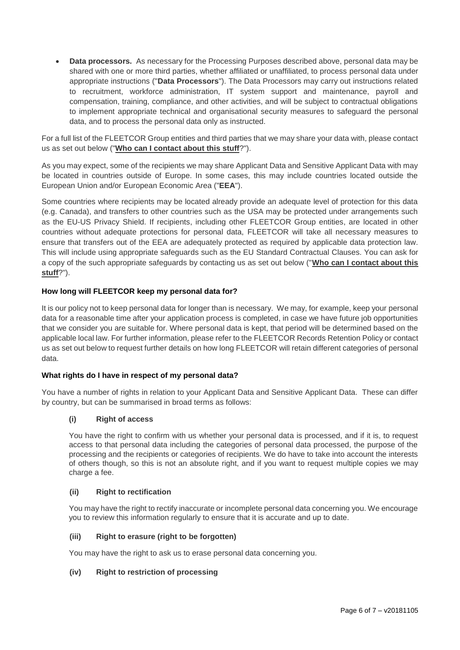**Data processors.** As necessary for the Processing Purposes described above, personal data may be shared with one or more third parties, whether affiliated or unaffiliated, to process personal data under appropriate instructions ("**Data Processors**"). The Data Processors may carry out instructions related to recruitment, workforce administration, IT system support and maintenance, payroll and compensation, training, compliance, and other activities, and will be subject to contractual obligations to implement appropriate technical and organisational security measures to safeguard the personal data, and to process the personal data only as instructed.

For a full list of the FLEETCOR Group entities and third parties that we may share your data with, please contact us as set out below ("**[Who can I contact about this stuff](#page-6-0)**?").

As you may expect, some of the recipients we may share Applicant Data and Sensitive Applicant Data with may be located in countries outside of Europe. In some cases, this may include countries located outside the European Union and/or European Economic Area ("**EEA**").

Some countries where recipients may be located already provide an adequate level of protection for this data (e.g. Canada), and transfers to other countries such as the USA may be protected under arrangements such as the EU-US Privacy Shield. If recipients, including other FLEETCOR Group entities, are located in other countries without adequate protections for personal data, FLEETCOR will take all necessary measures to ensure that transfers out of the EEA are adequately protected as required by applicable data protection law. This will include using appropriate safeguards such as the EU Standard Contractual Clauses. You can ask for a copy of the such appropriate safeguards by contacting us as set out below ("**[Who can I contact about this](#page-6-0)  [stuff](#page-6-0)**?").

## <span id="page-5-0"></span>**How long will FLEETCOR keep my personal data for?**

It is our policy not to keep personal data for longer than is necessary. We may, for example, keep your personal data for a reasonable time after your application process is completed, in case we have future job opportunities that we consider you are suitable for. Where personal data is kept, that period will be determined based on the applicable local law. For further information, please refer to the FLEETCOR Records Retention Policy or contact us as set out below to request further details on how long FLEETCOR will retain different categories of personal data.

## <span id="page-5-1"></span>**What rights do I have in respect of my personal data?**

You have a number of rights in relation to your Applicant Data and Sensitive Applicant Data. These can differ by country, but can be summarised in broad terms as follows:

## **(i) Right of access**

You have the right to confirm with us whether your personal data is processed, and if it is, to request access to that personal data including the categories of personal data processed, the purpose of the processing and the recipients or categories of recipients. We do have to take into account the interests of others though, so this is not an absolute right, and if you want to request multiple copies we may charge a fee.

## **(ii) Right to rectification**

You may have the right to rectify inaccurate or incomplete personal data concerning you. We encourage you to review this information regularly to ensure that it is accurate and up to date.

## **(iii) Right to erasure (right to be forgotten)**

You may have the right to ask us to erase personal data concerning you.

## **(iv) Right to restriction of processing**